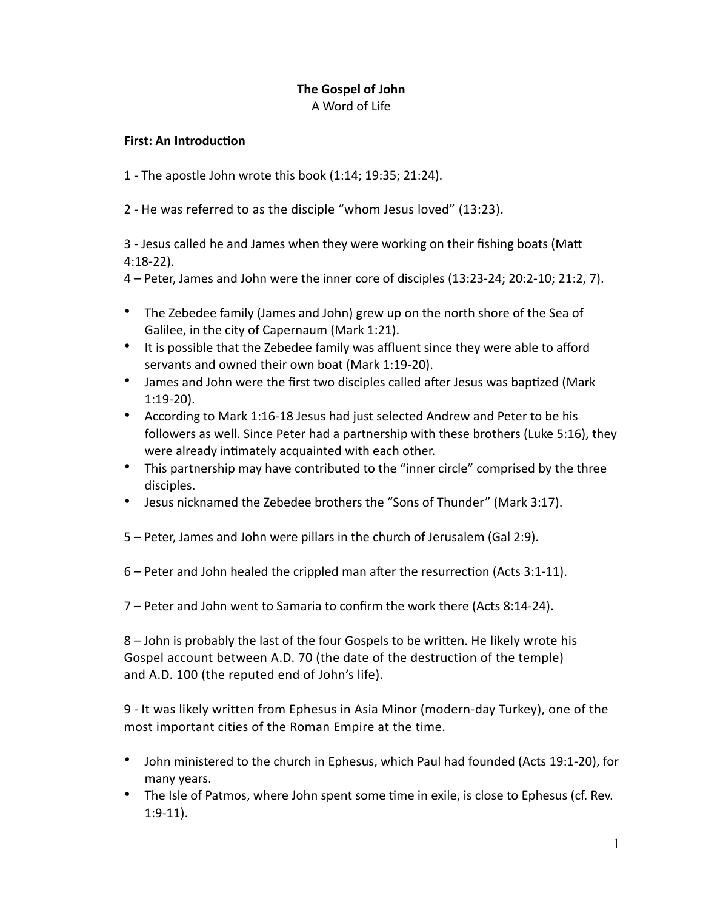#### **The Gospel of John**  A Word of Life

#### **First: An Introduction**

1 - The apostle John wrote this book (1:14; 19:35; 21:24).

2 - He was referred to as the disciple "whom Jesus loved" (13:23).

3 - Jesus called he and James when they were working on their fishing boats (Matt 4:18-22).

4 – Peter, James and John were the inner core of disciples (13:23-24; 20:2-10; 21:2, 7).

- The Zebedee family (James and John) grew up on the north shore of the Sea of Galilee, in the city of Capernaum (Mark 1:21).
- It is possible that the Zebedee family was affluent since they were able to afford servants and owned their own boat (Mark 1:19-20).
- James and John were the first two disciples called after Jesus was baptized (Mark 1:19-20).
- According to Mark 1:16-18 Jesus had just selected Andrew and Peter to be his followers as well. Since Peter had a partnership with these brothers (Luke 5:16), they were already intimately acquainted with each other.
- This partnership may have contributed to the "inner circle" comprised by the three disciples.
- Jesus nicknamed the Zebedee brothers the "Sons of Thunder" (Mark 3:17).
- 5 Peter, James and John were pillars in the church of Jerusalem (Gal 2:9).
- $6$  Peter and John healed the crippled man after the resurrection (Acts 3:1-11).

7 – Peter and John went to Samaria to confirm the work there (Acts 8:14-24).

8 – John is probably the last of the four Gospels to be written. He likely wrote his Gospel account between A.D. 70 (the date of the destruction of the temple) and A.D. 100 (the reputed end of John's life).

9 - It was likely written from Ephesus in Asia Minor (modern-day Turkey), one of the most important cities of the Roman Empire at the time.

- John ministered to the church in Ephesus, which Paul had founded (Acts 19:1-20), for many years.
- The Isle of Patmos, where John spent some time in exile, is close to Ephesus (cf. Rev. 1:9-11).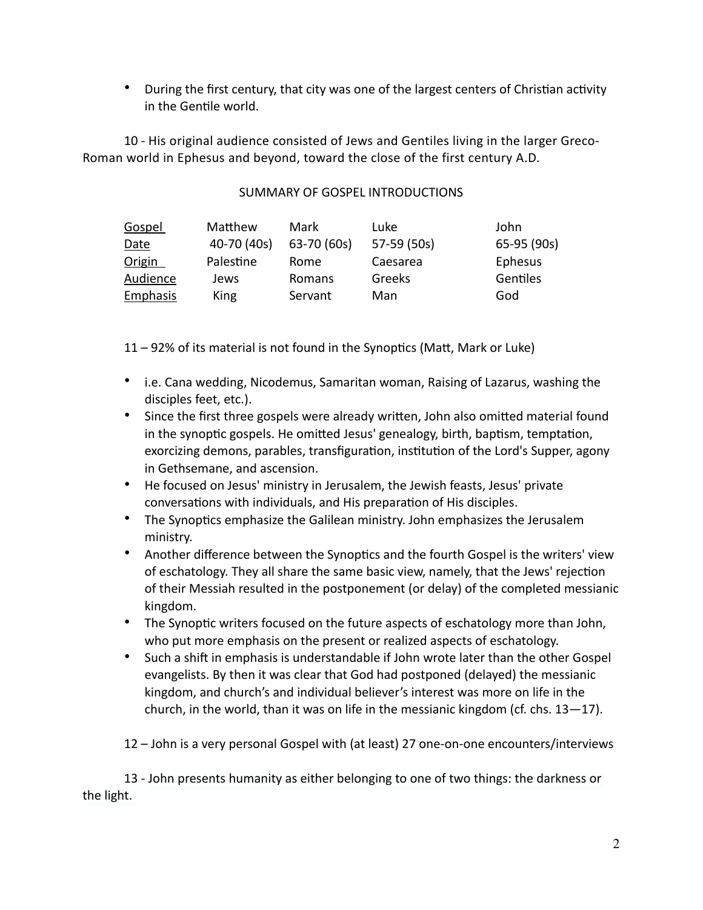• During the first century, that city was one of the largest centers of Christian activity in the Gentile world.

10 - His original audience consisted of Jews and Gentiles living in the larger Greco-Roman world in Ephesus and beyond, toward the close of the first century A.D.

## SUMMARY OF GOSPEL INTRODUCTIONS

| Gospel          | Matthew     | Mark        | Luke        | John        |
|-----------------|-------------|-------------|-------------|-------------|
| Date            | 40-70 (40s) | 63-70 (60s) | 57-59 (50s) | 65-95 (90s) |
| Origin          | Palestine   | Rome        | Caesarea    | Ephesus     |
| Audience        | Jews        | Romans      | Greeks      | Gentiles    |
| <b>Emphasis</b> | King        | Servant     | Man         | God         |

 $11 - 92%$  of its material is not found in the Synoptics (Matt, Mark or Luke)

- i.e. Cana wedding, Nicodemus, Samaritan woman, Raising of Lazarus, washing the disciples feet, etc.).
- Since the first three gospels were already written, John also omitted material found in the synoptic gospels. He omitted Jesus' genealogy, birth, baptism, temptation, exorcizing demons, parables, transfiguration, institution of the Lord's Supper, agony in Gethsemane, and ascension.
- He focused on Jesus' ministry in Jerusalem, the Jewish feasts, Jesus' private conversations with individuals, and His preparation of His disciples.
- The Synoptics emphasize the Galilean ministry. John emphasizes the Jerusalem ministry.
- Another difference between the Synoptics and the fourth Gospel is the writers' view of eschatology. They all share the same basic view, namely, that the Jews' rejection of their Messiah resulted in the postponement (or delay) of the completed messianic kingdom.
- The Synoptic writers focused on the future aspects of eschatology more than John, who put more emphasis on the present or realized aspects of eschatology.
- Such a shift in emphasis is understandable if John wrote later than the other Gospel evangelists. By then it was clear that God had postponed (delayed) the messianic kingdom, and church's and individual believer's interest was more on life in the church, in the world, than it was on life in the messianic kingdom (cf. chs.  $13-17$ ).

12 – John is a very personal Gospel with (at least) 27 one-on-one encounters/interviews

13 - John presents humanity as either belonging to one of two things: the darkness or the light.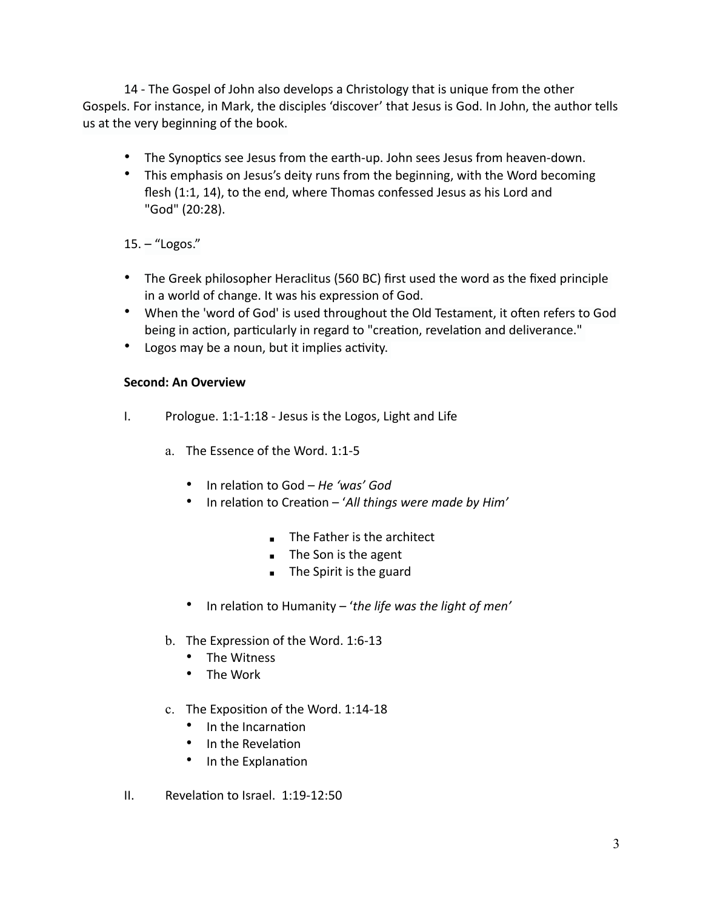14 - The Gospel of John also develops a Christology that is unique from the other Gospels. For instance, in Mark, the disciples 'discover' that Jesus is God. In John, the author tells us at the very beginning of the book.

- The Synoptics see Jesus from the earth-up. John sees Jesus from heaven-down.
- This emphasis on Jesus's deity runs from the beginning, with the Word becoming flesh (1:1, 14), to the end, where Thomas confessed Jesus as his Lord and "God" (20:28).

# 15. – "Logos."

- The Greek philosopher Heraclitus (560 BC) first used the word as the fixed principle in a world of change. It was his expression of God.
- When the 'word of God' is used throughout the Old Testament, it often refers to God being in action, particularly in regard to "creation, revelation and deliverance."
- Logos may be a noun, but it implies activity.

## **Second: An Overview**

- I. Prologue. 1:1-1:18 Jesus is the Logos, Light and Life
	- a. The Essence of the Word. 1:1-5
		- In relation to God *He 'was' God*
		- In relation to Creation '*All things were made by Him'* 
			- **The Father is the architect**
			- $\blacksquare$  The Son is the agent
			- $\blacksquare$  The Spirit is the guard
		- In relation to Humanity 'the life was the light of men'
	- b. The Expression of the Word. 1:6-13
		- The Witness
		- The Work
	- c. The Exposition of the Word. 1:14-18
		- In the Incarnation
		- In the Revelation
		- In the Explanation
- II. Revelation to Israel.  $1:19-12:50$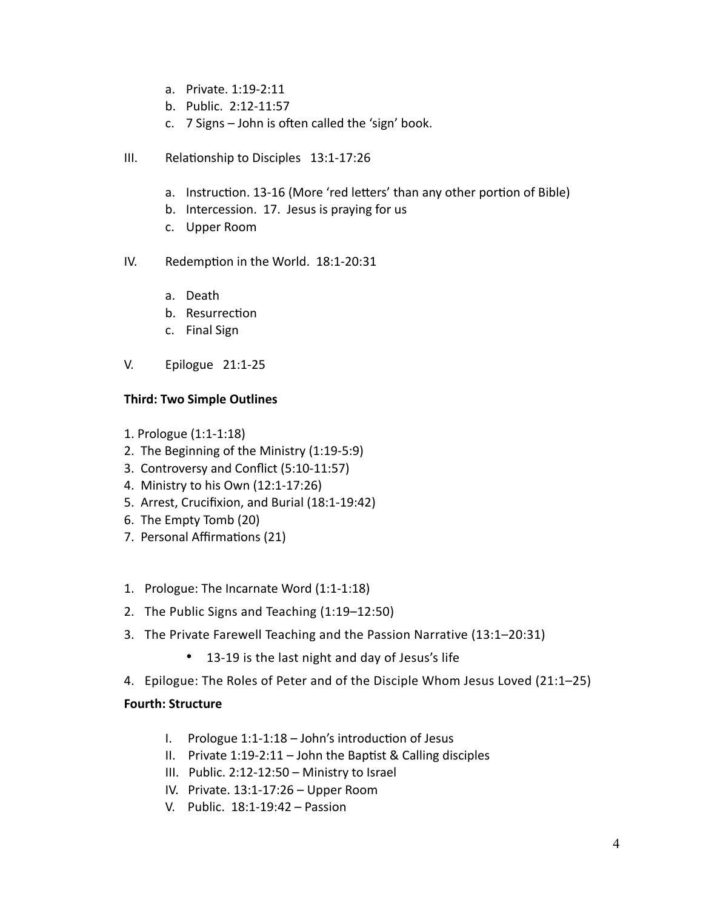- a. Private. 1:19-2:11
- b. Public. 2:12-11:57
- c.  $7$  Signs John is often called the 'sign' book.
- III. Relationship to Disciples 13:1-17:26
	- a. Instruction. 13-16 (More 'red letters' than any other portion of Bible)
	- b. Intercession. 17. Jesus is praying for us
	- c. Upper Room
- IV. Redemption in the World. 18:1-20:31
	- a. Death
	- b. Resurrection
	- c. Final Sign
- V. Epilogue 21:1-25

# **Third: Two Simple Outlines**

- 1. Prologue (1:1-1:18)
- 2. The Beginning of the Ministry (1:19-5:9)
- 3. Controversy and Conflict (5:10-11:57)
- 4. Ministry to his Own (12:1-17:26)
- 5. Arrest, Crucifixion, and Burial (18:1-19:42)
- 6. The Empty Tomb (20)
- 7. Personal Affirmations (21)
- 1. Prologue: The Incarnate Word (1:1-1:18)
- 2. The Public Signs and Teaching (1:19–12:50)
- 3. The Private Farewell Teaching and the Passion Narrative (13:1–20:31)
	- 13-19 is the last night and day of Jesus's life
- 4. Epilogue: The Roles of Peter and of the Disciple Whom Jesus Loved (21:1–25)

## **Fourth: Structure**

- I. Prologue  $1:1-1:18$  John's introduction of Jesus
- II. Private  $1:19-2:11$  John the Baptist & Calling disciples
- III. Public. 2:12-12:50 Ministry to Israel
- IV. Private. 13:1-17:26 Upper Room
- V. Public. 18:1-19:42 Passion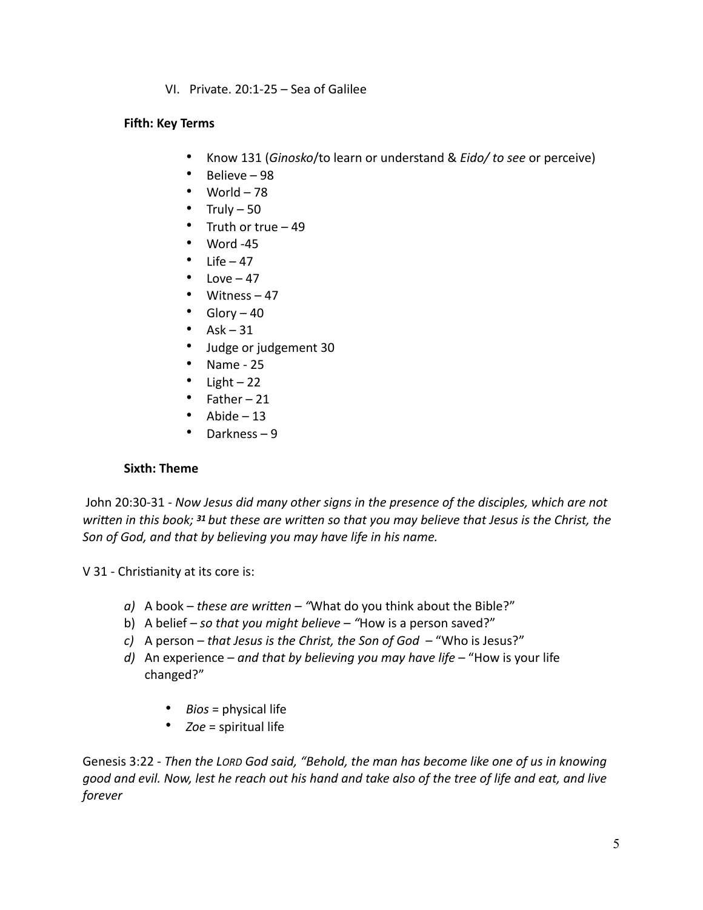VI. Private. 20:1-25 – Sea of Galilee

#### **Fifth: Key Terms**

- Know 131 (*Ginosko*/to learn or understand & *Eido/ to see* or perceive)
- Believe 98
- World  $-78$
- Truly  $-50$
- Truth or true 49
- Word -45
- Life  $-47$
- Love  $-47$
- Witness 47
- $\bullet$  Glory 40
- $Ask 31$
- Judge or judgement 30
- Name 25
- Light  $-22$
- Father 21
- Abide  $-13$
- Darkness 9

## **Sixth: Theme**

 John 20:30-31 - *Now Jesus did many other signs in the presence of the disciples, which are not written in this book; <sup>31</sup> but these are written so that you may believe that Jesus is the Christ, the Son of God, and that by believing you may have life in his name.* 

V 31 - Christianity at its core is:

- *a*) A book *these are written* "What do you think about the Bible?"
- b) A belief *so that you might believe "*How is a person saved?"
- *c)* A person *that Jesus is the Christ, the Son of God*  "Who is Jesus?"
- *d)* An experience *and that by believing you may have life*  "How is your life changed?"
	- *Bios* = physical life
	- *Zoe* = spiritual life

Genesis 3:22 - *Then the LORD God said, "Behold, the man has become like one of us in knowing good and evil. Now, lest he reach out his hand and take also of the tree of life and eat, and live forever*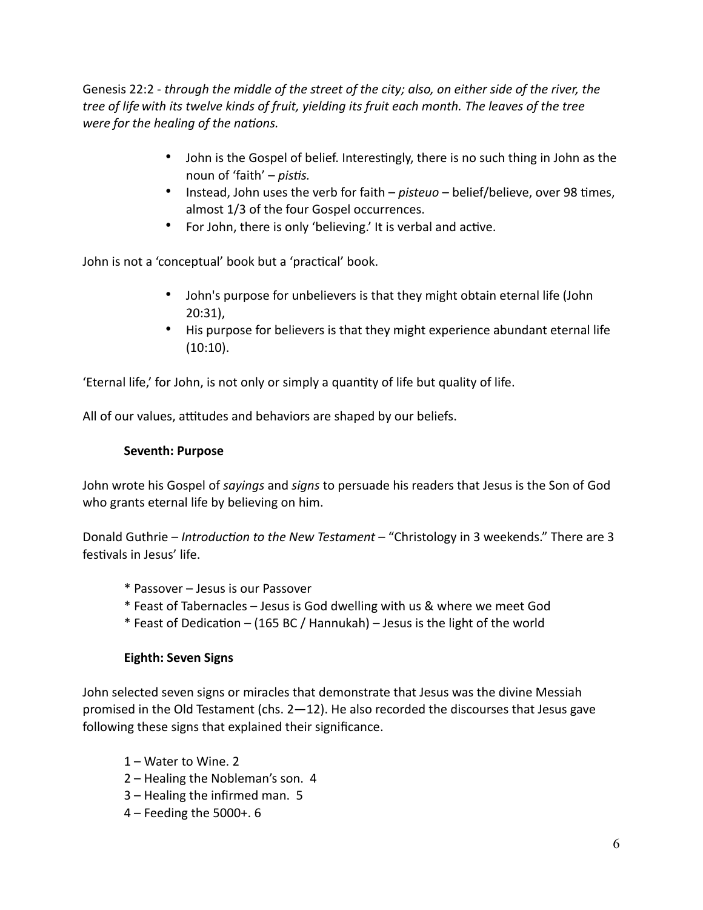Genesis 22:2 - *through the middle of the street of the city; also, on either side of the river, the tree of life with its twelve kinds of fruit, yielding its fruit each month. The leaves of the tree were for the healing of the nations.* 

- John is the Gospel of belief. Interestingly, there is no such thing in John as the noun of 'faith' – *pistis*.
- Instead, John uses the verb for faith *pisteuo* belief/believe, over 98 times, almost 1/3 of the four Gospel occurrences.
- For John, there is only 'believing.' It is verbal and active.

John is not a 'conceptual' book but a 'practical' book.

- John's purpose for unbelievers is that they might obtain eternal life (John 20:31),
- His purpose for believers is that they might experience abundant eternal life (10:10).

'Eternal life,' for John, is not only or simply a quantity of life but quality of life.

All of our values, attitudes and behaviors are shaped by our beliefs.

## **Seventh: Purpose**

John wrote his Gospel of *sayings* and *signs* to persuade his readers that Jesus is the Son of God who grants eternal life by believing on him.

Donald Guthrie – *Introduction to the New Testament* – "Christology in 3 weekends." There are 3 festivals in Jesus' life.

- \* Passover Jesus is our Passover
- \* Feast of Tabernacles Jesus is God dwelling with us & where we meet God
- $*$  Feast of Dedication (165 BC / Hannukah) Jesus is the light of the world

## **Eighth: Seven Signs**

John selected seven signs or miracles that demonstrate that Jesus was the divine Messiah promised in the Old Testament (chs. 2—12). He also recorded the discourses that Jesus gave following these signs that explained their significance.

- 1 Water to Wine. 2
- 2 Healing the Nobleman's son. 4
- 3 Healing the infirmed man. 5
- 4 Feeding the 5000+. 6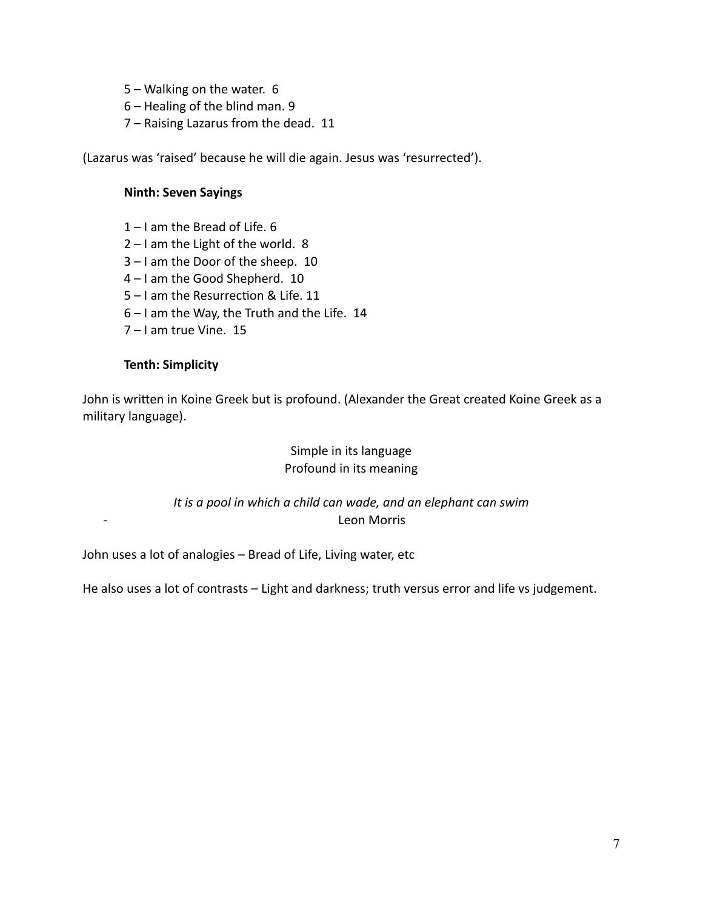- 5 Walking on the water. 6
- 6 Healing of the blind man. 9
- 7 Raising Lazarus from the dead. 11

(Lazarus was 'raised' because he will die again. Jesus was 'resurrected').

#### **Ninth: Seven Sayings**

- 1 I am the Bread of Life. 6
- 2 I am the Light of the world. 8
- 3 I am the Door of the sheep. 10
- 4 I am the Good Shepherd. 10
- $5 1$  am the Resurrection & Life. 11
- 6 I am the Way, the Truth and the Life. 14
- 7 I am true Vine. 15

#### **Tenth: Simplicity**

John is written in Koine Greek but is profound. (Alexander the Great created Koine Greek as a military language).

# Simple in its language Profound in its meaning

*It is a pool in which a child can wade, and an elephant can swim*  - Leon Morris

John uses a lot of analogies – Bread of Life, Living water, etc

He also uses a lot of contrasts – Light and darkness; truth versus error and life vs judgement.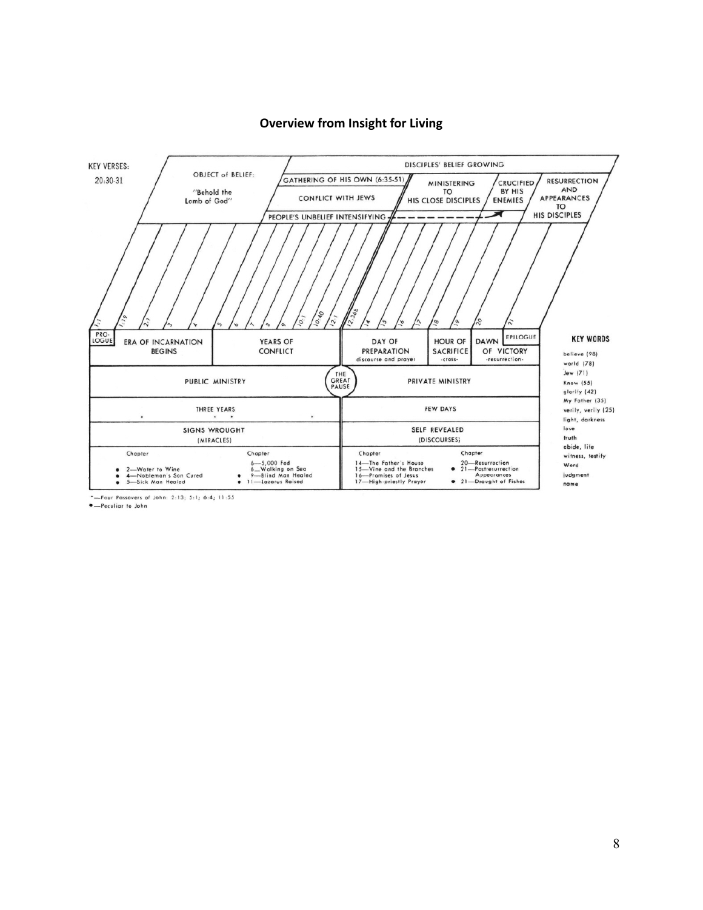

#### **Overview from Insight for Living**

\*-Four Passovers of John: 2:13; 5:1; 6:4; 11:55

·- Peculiar to John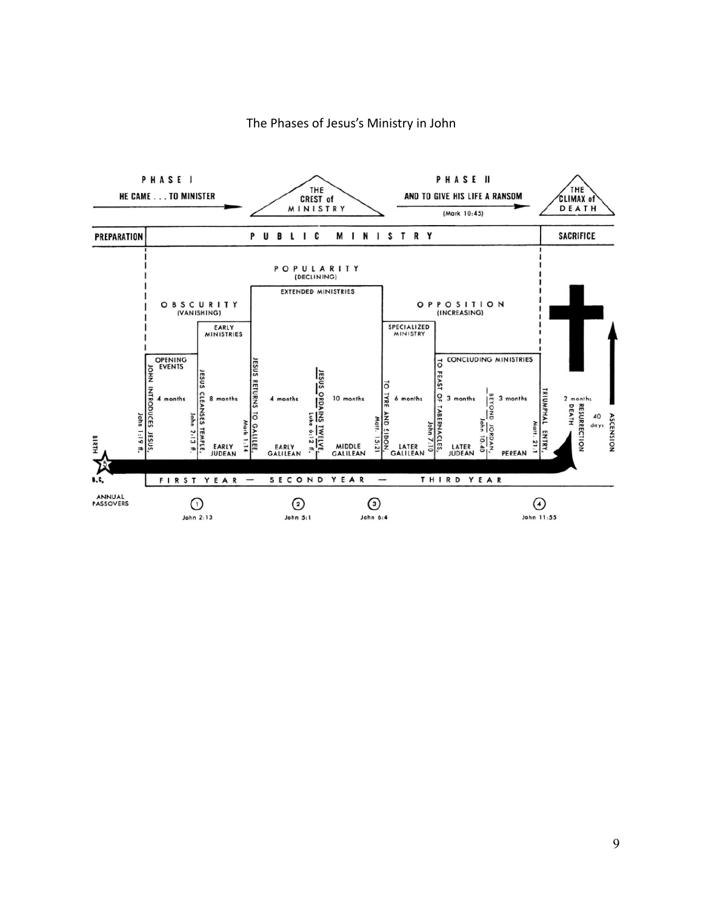

#### The Phases of Jesus's Ministry in John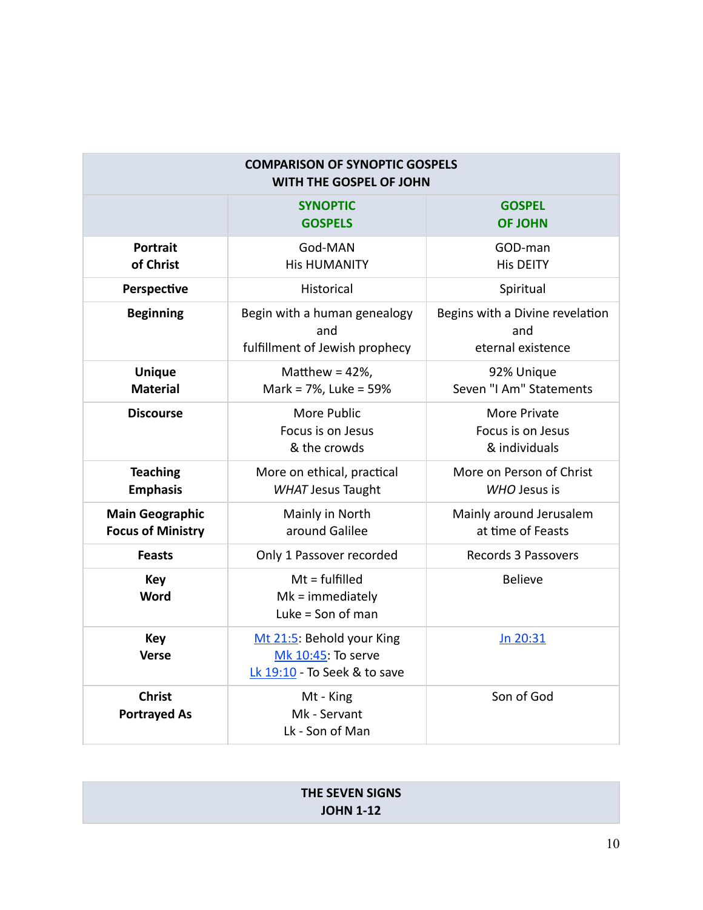| <b>COMPARISON OF SYNOPTIC GOSPELS</b><br>WITH THE GOSPEL OF JOHN |                                                                                 |                                                             |  |  |  |  |
|------------------------------------------------------------------|---------------------------------------------------------------------------------|-------------------------------------------------------------|--|--|--|--|
|                                                                  | <b>SYNOPTIC</b><br><b>GOSPELS</b>                                               | <b>GOSPEL</b><br><b>OF JOHN</b>                             |  |  |  |  |
| <b>Portrait</b><br>of Christ                                     | God-MAN<br><b>His HUMANITY</b>                                                  | GOD-man<br><b>His DEITY</b>                                 |  |  |  |  |
| Perspective                                                      | Historical                                                                      | Spiritual                                                   |  |  |  |  |
| <b>Beginning</b>                                                 | Begin with a human genealogy<br>and<br>fulfillment of Jewish prophecy           | Begins with a Divine revelation<br>and<br>eternal existence |  |  |  |  |
| <b>Unique</b><br><b>Material</b>                                 | Matthew = $42\%$ ,<br>Mark = 7%, Luke = 59%                                     | 92% Unique<br>Seven "I Am" Statements                       |  |  |  |  |
| <b>Discourse</b>                                                 | More Public<br>Focus is on Jesus<br>& the crowds                                | More Private<br>Focus is on Jesus<br>& individuals          |  |  |  |  |
| <b>Teaching</b><br><b>Emphasis</b>                               | More on ethical, practical<br><b>WHAT Jesus Taught</b>                          | More on Person of Christ<br>WHO Jesus is                    |  |  |  |  |
| <b>Main Geographic</b><br><b>Focus of Ministry</b>               | Mainly in North<br>around Galilee                                               | Mainly around Jerusalem<br>at time of Feasts                |  |  |  |  |
| <b>Feasts</b>                                                    | Only 1 Passover recorded                                                        | Records 3 Passovers                                         |  |  |  |  |
| <b>Key</b><br><b>Word</b>                                        | $Mt = fullfilled$<br>$Mk = immediately$<br>Luke = Son of man                    | <b>Believe</b>                                              |  |  |  |  |
| <b>Key</b><br>Verse                                              | Mt 21:5: Behold your King<br>Mk 10:45: To serve<br>Lk 19:10 - To Seek & to save | Jn 20:31                                                    |  |  |  |  |
| <b>Christ</b><br><b>Portrayed As</b>                             | Mt - King<br>Mk - Servant<br>Lk - Son of Man                                    | Son of God                                                  |  |  |  |  |

| <b>THE SEVEN SIGNS</b> |  |
|------------------------|--|
| <b>JOHN 1-12</b>       |  |
|                        |  |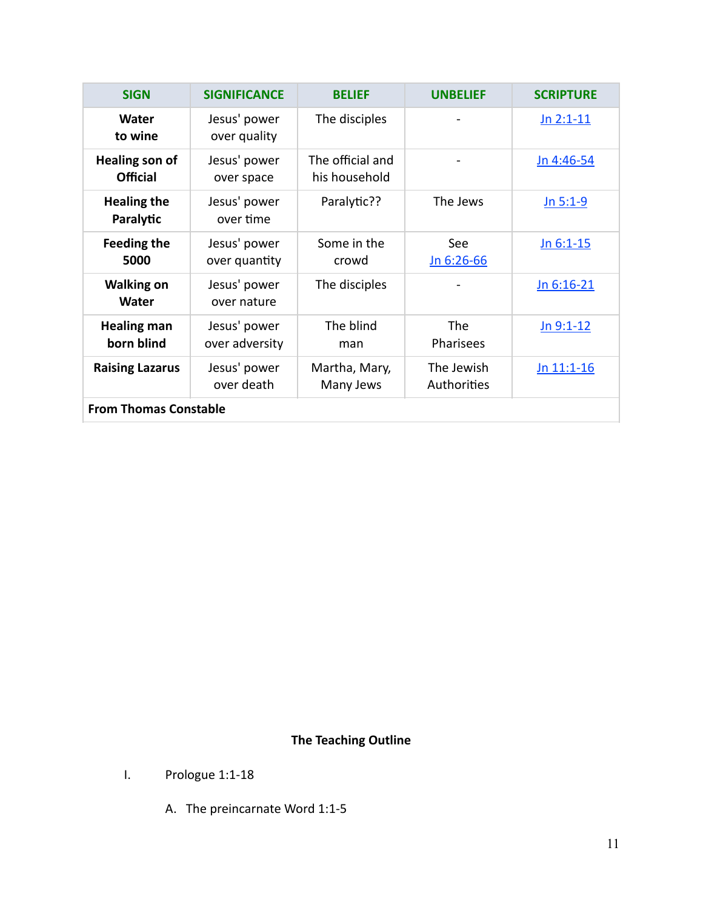| <b>SIGN</b>                              | <b>SIGNIFICANCE</b>            | <b>BELIEF</b>                     | <b>UNBELIEF</b>           | <b>SCRIPTURE</b> |  |  |
|------------------------------------------|--------------------------------|-----------------------------------|---------------------------|------------------|--|--|
| Water<br>to wine                         | Jesus' power<br>over quality   | The disciples                     |                           | $Jn 2:1-11$      |  |  |
| <b>Healing son of</b><br><b>Official</b> | Jesus' power<br>over space     | The official and<br>his household |                           | Jn 4:46-54       |  |  |
| <b>Healing the</b><br>Paralytic          | Jesus' power<br>over time      | Paralytic??                       | The Jews                  | Jn 5:1-9         |  |  |
| <b>Feeding the</b><br>5000               | Jesus' power<br>over quantity  | Some in the<br>crowd              | See<br>Jn 6:26-66         | $Jn 6:1-15$      |  |  |
| <b>Walking on</b><br><b>Water</b>        | Jesus' power<br>over nature    | The disciples                     |                           | Jn 6:16-21       |  |  |
| <b>Healing man</b><br>born blind         | Jesus' power<br>over adversity | The blind<br>man                  | The<br><b>Pharisees</b>   | $Jn 9:1-12$      |  |  |
| <b>Raising Lazarus</b>                   | Jesus' power<br>over death     | Martha, Mary,<br>Many Jews        | The Jewish<br>Authorities | $Jn$ 11:1-16     |  |  |
| <b>From Thomas Constable</b>             |                                |                                   |                           |                  |  |  |

# **The Teaching Outline**

- I. Prologue 1:1-18
	- A. The preincarnate Word 1:1-5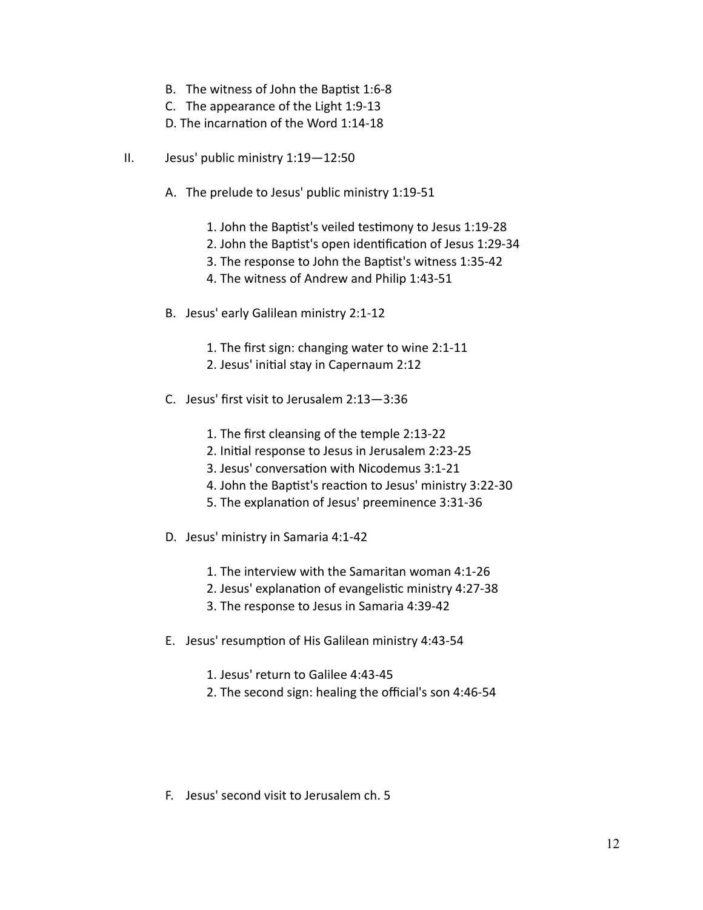- B. The witness of John the Baptist 1:6-8
- C. The appearance of the Light 1:9-13
- D. The incarnation of the Word 1:14-18
- II. Jesus' public ministry 1:19—12:50
	- A. The prelude to Jesus' public ministry 1:19-51
		- 1. John the Baptist's veiled testimony to Jesus 1:19-28
		- 2. John the Baptist's open identification of Jesus 1:29-34
		- 3. The response to John the Baptist's witness 1:35-42
		- 4. The witness of Andrew and Philip 1:43-51
	- B. Jesus' early Galilean ministry 2:1-12
		- 1. The first sign: changing water to wine 2:1-11
		- 2. Jesus' initial stay in Capernaum 2:12
	- C. Jesus' first visit to Jerusalem 2:13—3:36
		- 1. The first cleansing of the temple 2:13-22
		- 2. Initial response to Jesus in Jerusalem 2:23-25
		- 3. Jesus' conversation with Nicodemus 3:1-21
		- 4. John the Baptist's reaction to Jesus' ministry 3:22-30
		- 5. The explanation of Jesus' preeminence 3:31-36
	- D. Jesus' ministry in Samaria 4:1-42
		- 1. The interview with the Samaritan woman 4:1-26
		- 2. Jesus' explanation of evangelistic ministry 4:27-38
		- 3. The response to Jesus in Samaria 4:39-42
	- E. Jesus' resumption of His Galilean ministry 4:43-54
		- 1. Jesus' return to Galilee 4:43-45
		- 2. The second sign: healing the official's son 4:46-54
	- F. Jesus' second visit to Jerusalem ch. 5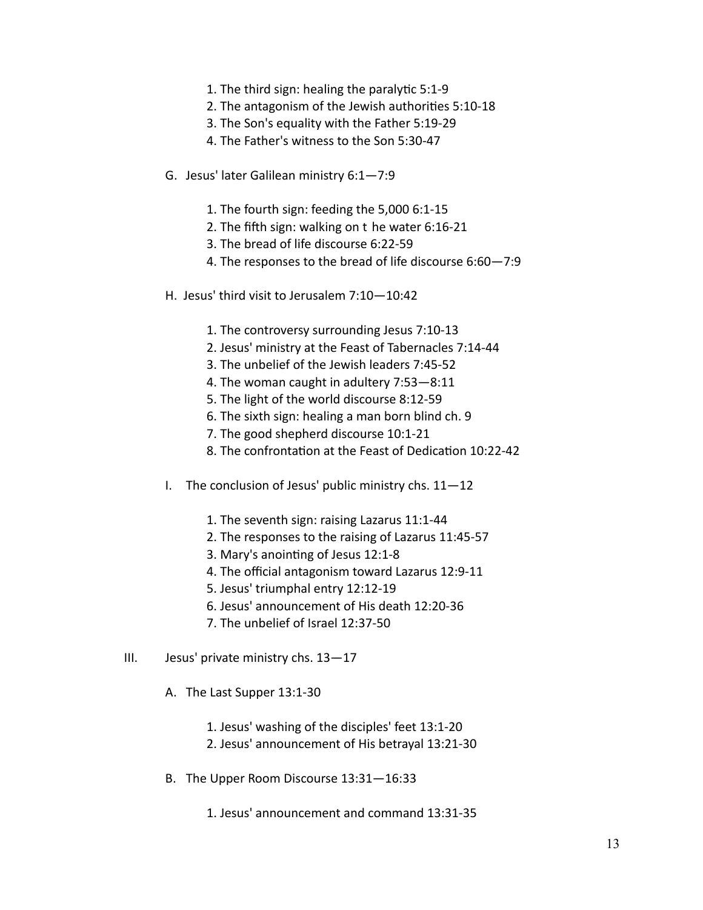- 1. The third sign: healing the paralytic  $5:1-9$
- 2. The antagonism of the Jewish authorities 5:10-18
- 3. The Son's equality with the Father 5:19-29
- 4. The Father's witness to the Son 5:30-47
- G. Jesus' later Galilean ministry 6:1—7:9
	- 1. The fourth sign: feeding the 5,000 6:1-15
	- 2. The fifth sign: walking on  $t$  he water 6:16-21
	- 3. The bread of life discourse 6:22-59
	- 4. The responses to the bread of life discourse 6:60—7:9
- H. Jesus' third visit to Jerusalem 7:10—10:42
	- 1. The controversy surrounding Jesus 7:10-13
	- 2. Jesus' ministry at the Feast of Tabernacles 7:14-44
	- 3. The unbelief of the Jewish leaders 7:45-52
	- 4. The woman caught in adultery 7:53—8:11
	- 5. The light of the world discourse 8:12-59
	- 6. The sixth sign: healing a man born blind ch. 9
	- 7. The good shepherd discourse 10:1-21
	- 8. The confrontation at the Feast of Dedication 10:22-42
- I. The conclusion of Jesus' public ministry chs.  $11-12$ 
	- 1. The seventh sign: raising Lazarus 11:1-44
	- 2. The responses to the raising of Lazarus 11:45-57
	- 3. Mary's anointing of Jesus 12:1-8
	- 4. The official antagonism toward Lazarus 12:9-11
	- 5. Jesus' triumphal entry 12:12-19
	- 6. Jesus' announcement of His death 12:20-36
	- 7. The unbelief of Israel 12:37-50
- III. Jesus' private ministry chs. 13—17
	- A. The Last Supper 13:1-30
		- 1. Jesus' washing of the disciples' feet 13:1-20
		- 2. Jesus' announcement of His betrayal 13:21-30
	- B. The Upper Room Discourse 13:31—16:33
		- 1. Jesus' announcement and command 13:31-35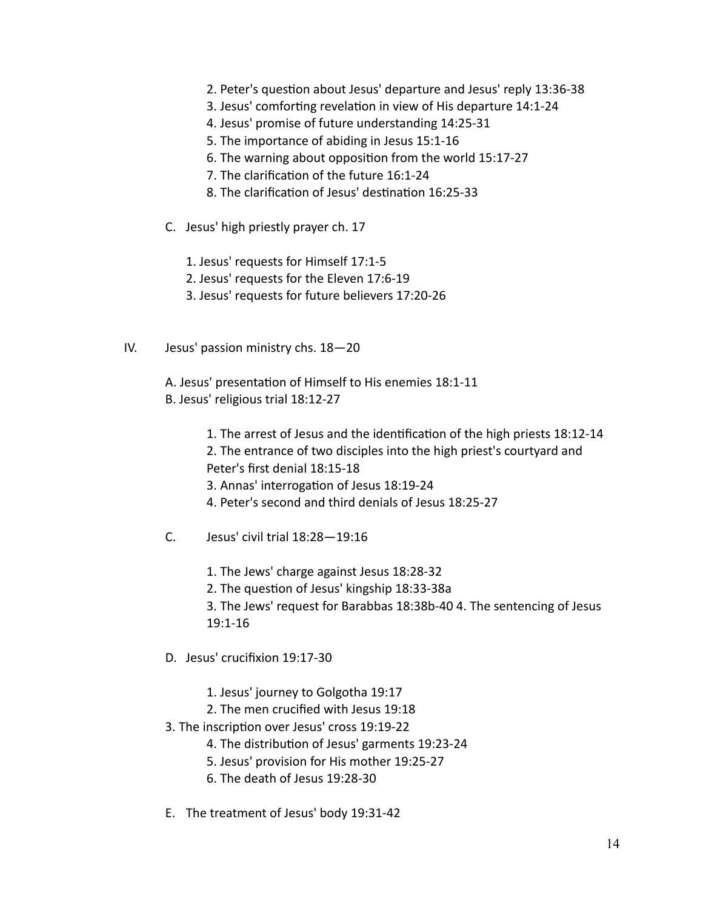- 2. Peter's question about Jesus' departure and Jesus' reply 13:36-38
- 3. Jesus' comforting revelation in view of His departure 14:1-24
- 4. Jesus' promise of future understanding 14:25-31
- 5. The importance of abiding in Jesus 15:1-16
- 6. The warning about opposition from the world 15:17-27
- 7. The clarification of the future 16:1-24
- 8. The clarification of Jesus' destination 16:25-33
- C. Jesus' high priestly prayer ch. 17
	- 1. Jesus' requests for Himself 17:1-5
	- 2. Jesus' requests for the Eleven 17:6-19
	- 3. Jesus' requests for future believers 17:20-26
- IV. Jesus' passion ministry chs. 18—20

A. Jesus' presentation of Himself to His enemies 18:1-11 B. Jesus' religious trial 18:12-27

- 1. The arrest of Jesus and the identification of the high priests 18:12-14
- 2. The entrance of two disciples into the high priest's courtyard and Peter's first denial 18:15-18
- 3. Annas' interrogation of Jesus 18:19-24
- 4. Peter's second and third denials of Jesus 18:25-27
- C. Jesus' civil trial 18:28—19:16
	- 1. The Jews' charge against Jesus 18:28-32
	- 2. The question of Jesus' kingship 18:33-38a
	- 3. The Jews' request for Barabbas 18:38b-40 4. The sentencing of Jesus 19:1-16
- D. Jesus' crucifixion 19:17-30
	- 1. Jesus' journey to Golgotha 19:17
	- 2. The men crucified with Jesus 19:18
- 3. The inscription over Jesus' cross 19:19-22
	- 4. The distribution of Jesus' garments 19:23-24
	- 5. Jesus' provision for His mother 19:25-27
	- 6. The death of Jesus 19:28-30
- E. The treatment of Jesus' body 19:31-42